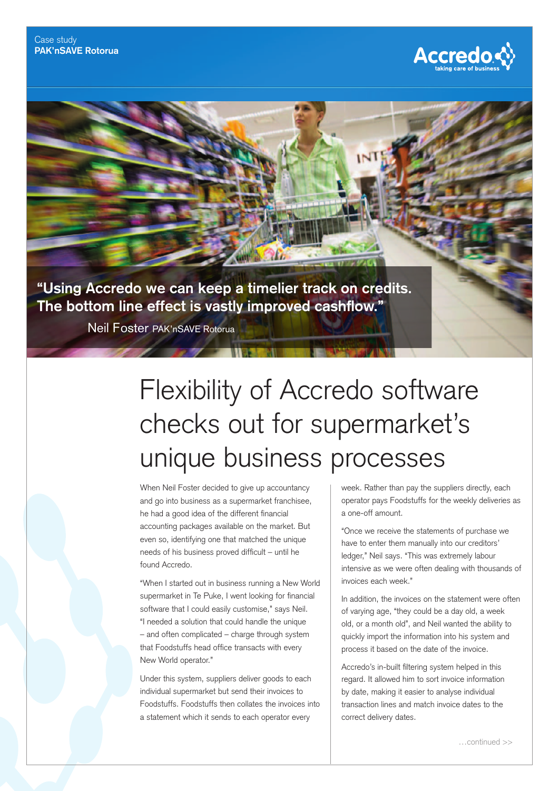

**"Using Accredo we can keep a timelier track on credits.**  The bottom line effect is vastly improved cashflow."

Neil Foster PAK'nSAVE Rotorua

## Flexibility of Accredo software checks out for supermarket's unique business processes

When Neil Foster decided to give up accountancy and go into business as a supermarket franchisee, he had a good idea of the different financial accounting packages available on the market. But even so, identifying one that matched the unique needs of his business proved difficult – until he found Accredo.

"When I started out in business running a New World supermarket in Te Puke, I went looking for financial software that I could easily customise," says Neil. "I needed a solution that could handle the unique – and often complicated – charge through system that Foodstuffs head office transacts with every New World operator."

Under this system, suppliers deliver goods to each individual supermarket but send their invoices to Foodstuffs. Foodstuffs then collates the invoices into a statement which it sends to each operator every

week. Rather than pay the suppliers directly, each operator pays Foodstuffs for the weekly deliveries as a one-off amount.

"Once we receive the statements of purchase we have to enter them manually into our creditors' ledger," Neil says. "This was extremely labour intensive as we were often dealing with thousands of invoices each week."

In addition, the invoices on the statement were often of varying age, "they could be a day old, a week old, or a month old", and Neil wanted the ability to quickly import the information into his system and process it based on the date of the invoice.

Accredo's in-built filtering system helped in this regard. It allowed him to sort invoice information by date, making it easier to analyse individual transaction lines and match invoice dates to the correct delivery dates.